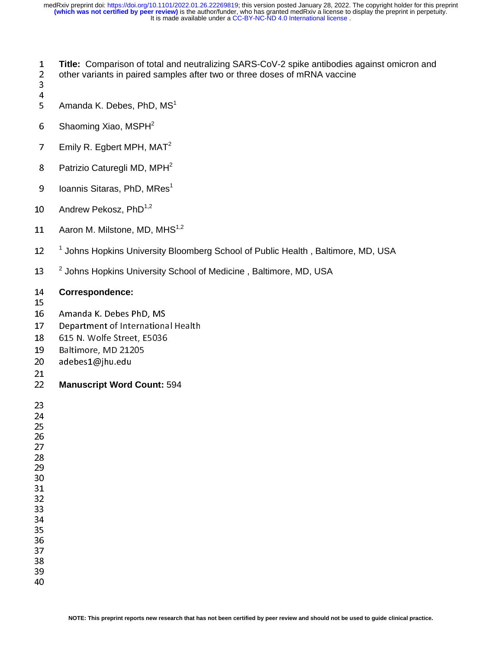It is made available under a [CC-BY-NC-ND 4.0 International license](http://creativecommons.org/licenses/by-nc-nd/4.0/) . **(which was not certified by peer review)** is the author/funder, who has granted medRxiv a license to display the preprint in perpetuity. medRxiv preprint doi: [https://doi.org/10.1101/2022.01.26.22269819;](https://doi.org/10.1101/2022.01.26.22269819) this version posted January 28, 2022. The copyright holder for this preprint

1 **Title:** Comparison of total and neutralizing SARS-CoV-2 spike antibodies against omicron and<br>2 other variants in paired samples after two or three doses of mRNA vaccine

- 2 other variants in paired samples after two or three doses of mRNA vaccine<br>3
- 3
- 4 Amanda K. Debes,  $PhD$ ,  $MS<sup>1</sup>$
- 6 Shaoming Xiao, MSPH $^2$
- 7 Emily R. Egbert MPH, MAT<sup>2</sup>
- 8 Patrizio Caturegli MD, MPH $^2$
- 9 Ioannis Sitaras, PhD,  $MRes<sup>1</sup>$
- 10 Andrew Pekosz,  $PhD^{1,2}$
- 11 Aaron M. Milstone, MD, MHS $^{1,2}$
- 12 <sup>1</sup> Johns Hopkins University Bloomberg School of Public Health, Baltimore, MD, USA

**NOTE: This preprint reports new research that has not been certified by peer review and should not be used to guide clinical practice.**

<sup>2</sup> Johns Hopkins University School of Medicine, Baltimore, MD, USA

# <sup>14</sup>**Correspondence:**

- 
- 15
- 16 Amanda K. Debes PhD, MS<br>17 Department of International Health 17 Department of international Health
- 18 615 N. Wolfe Street, E5036
- 19 Baltimore, MD 21205
- 20 adebes1@jhu.edu
- 
- $\frac{21}{22}$ <sup>22</sup>**Manuscript Word Count:**<sup>594</sup>

 $\frac{23}{24}$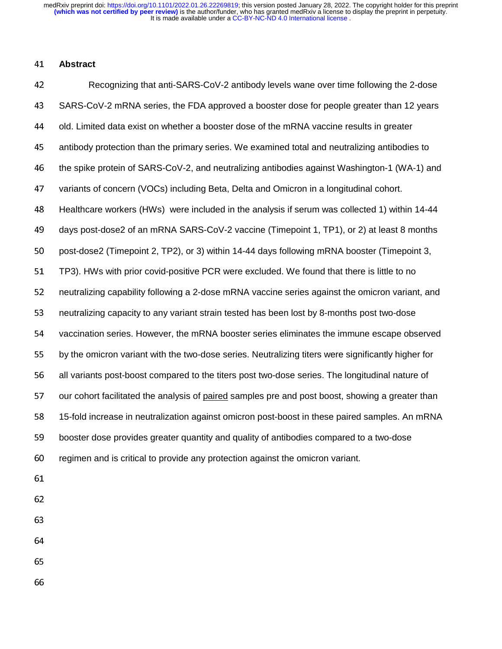## <sup>41</sup>**Abstract**

<sup>42</sup>Recognizing that anti-SARS-CoV-2 antibody levels wane over time following the 2-dose <sup>43</sup>SARS-CoV-2 mRNA series, the FDA approved a booster dose for people greater than 12 years 44 old. Limited data exist on whether a booster dose of the mRNA vaccine results in greater <sup>45</sup>antibody protection than the primary series. We examined total and neutralizing antibodies to <sup>46</sup>the spike protein of SARS-CoV-2, and neutralizing antibodies against Washington-1 (WA-1) and 47 variants of concern (VOCs) including Beta, Delta and Omicron in a longitudinal cohort. <sup>48</sup>Healthcare workers (HWs) were included in the analysis if serum was collected 1) within 14-44 49 days post-dose2 of an mRNA SARS-CoV-2 vaccine (Timepoint 1, TP1), or 2) at least 8 months 50 post-dose2 (Timepoint 2, TP2), or 3) within 14-44 days following mRNA booster (Timepoint 3, 51 TP3). HWs with prior covid-positive PCR were excluded. We found that there is little to no 52 neutralizing capability following a 2-dose mRNA vaccine series against the omicron variant, and 53 Fineutralizing capacity to any variant strain tested has been lost by 8-months post two-dose 54 vaccination series. However, the mRNA booster series eliminates the immune escape observed 55 by the omicron variant with the two-dose series. Neutralizing titers were significantly higher for 56 all variants post-boost compared to the titers post two-dose series. The longitudinal nature of 57 our cohort facilitated the analysis of paired samples pre and post boost, showing a greater than 58 15-fold increase in neutralization against omicron post-boost in these paired samples. An mRNA 59 booster dose provides greater quantity and quality of antibodies compared to a two-dose 60 regimen and is critical to provide any protection against the omicron variant. 61

- 62
- 63
- 64
- 65
- 66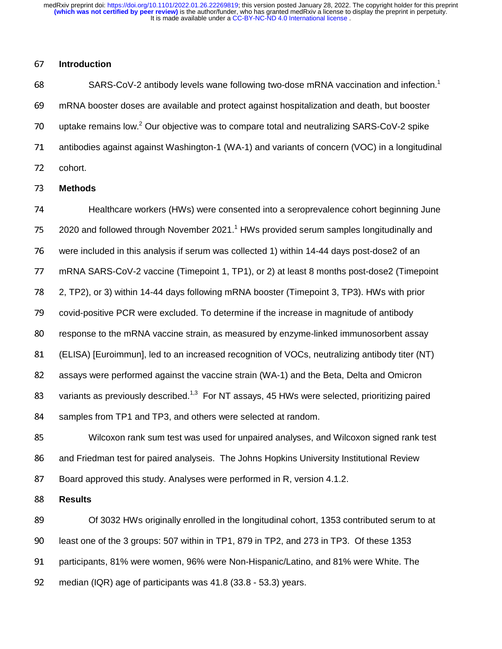## <sup>67</sup>**Introduction**

68 SARS-CoV-2 antibody levels wane following two-dose mRNA vaccination and infection.<sup>1</sup> <sup>69</sup>mRNA booster doses are available and protect against hospitalization and death, but booster 70 uptake remains low.<sup>2</sup> Our objective was to compare total and neutralizing SARS-CoV-2 spike 71 antibodies against against Washington-1 (WA-1) and variants of concern (VOC) in a longitudinal 72 cohort.

## <sup>73</sup>**Methods**

74 Healthcare workers (HWs) were consented into a seroprevalence cohort beginning June  $2020$  and followed through November 2021.<sup>1</sup> HWs provided serum samples longitudinally and 76 were included in this analysis if serum was collected 1) within 14-44 days post-dose2 of an 77 mRNA SARS-CoV-2 vaccine (Timepoint 1, TP1), or 2) at least 8 months post-dose2 (Timepoint <sup>78</sup>2, TP2), or 3) within 14-44 days following mRNA booster (Timepoint 3, TP3). HWs with prior 79 covid-positive PCR were excluded. To determine if the increase in magnitude of antibody 80 response to the mRNA vaccine strain, as measured by enzyme-linked immunosorbent assay <sup>81</sup>(ELISA) [Euroimmun], led to an increased recognition of VOCs, neutralizing antibody titer (NT) 82 assays were performed against the vaccine strain (WA-1) and the Beta, Delta and Omicron 83 variants as previously described.<sup>1,3</sup> For NT assays, 45 HWs were selected, prioritizing paired 84 samples from TP1 and TP3, and others were selected at random.

85 Wilcoxon rank sum test was used for unpaired analyses, and Wilcoxon signed rank test 86 and Friedman test for paired analyseis. The Johns Hopkins University Institutional Review 87 Board approved this study. Analyses were performed in R, version 4.1.2.

<sup>88</sup>**Results** 

89 69 Of 3032 HWs originally enrolled in the longitudinal cohort, 1353 contributed serum to at 90 least one of the 3 groups: 507 within in TP1, 879 in TP2, and 273 in TP3. Of these 1353 91 participants, 81% were women, 96% were Non-Hispanic/Latino, and 81% were White. The 92 median (IQR) age of participants was 41.8 (33.8 - 53.3) years.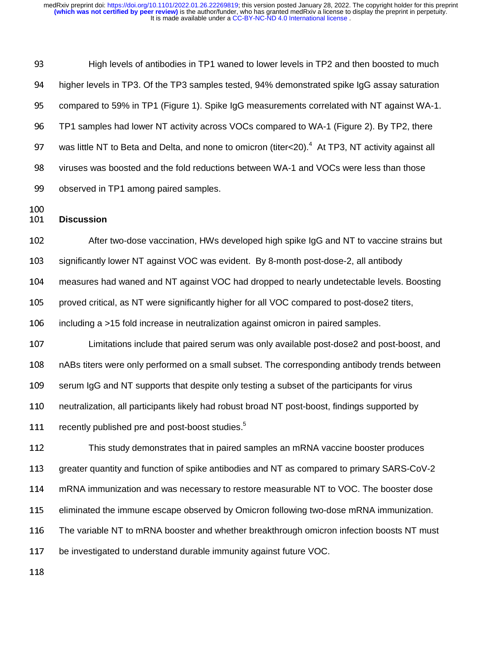93 High levels of antibodies in TP1 waned to lower levels in TP2 and then boosted to much 94 higher levels in TP3. Of the TP3 samples tested, 94% demonstrated spike IgG assay saturation 95 compared to 59% in TP1 (Figure 1). Spike IgG measurements correlated with NT against WA-1. 96 TP1 samples had lower NT activity across VOCs compared to WA-1 (Figure 2). By TP2, there 97 was little NT to Beta and Delta, and none to omicron (titer<20).<sup>4</sup> At TP3, NT activity against all 98 viruses was boosted and the fold reductions between WA-1 and VOCs were less than those 99 observed in TP1 among paired samples.

#### 100<br>101 <sup>101</sup>**Discussion**

102 **After two-dose vaccination, HWs developed high spike IgG and NT to vaccine strains but** 103 significantly lower NT against VOC was evident. By 8-month post-dose-2, all antibody

<sup>104</sup>measures had waned and NT against VOC had dropped to nearly undetectable levels. Boosting

105 proved critical, as NT were significantly higher for all VOC compared to post-dose2 titers,

106 including a >15 fold increase in neutralization against omicron in paired samples.

<sup>107</sup>Limitations include that paired serum was only available post-dose2 and post-boost, and 108 nABs titers were only performed on a small subset. The corresponding antibody trends between 109 serum IgG and NT supports that despite only testing a subset of the participants for virus 110 neutralization, all participants likely had robust broad NT post-boost, findings supported by 111 recently published pre and post-boost studies.<sup>5</sup>

112 This study demonstrates that in paired samples an mRNA vaccine booster produces 113 greater quantity and function of spike antibodies and NT as compared to primary SARS-CoV-2 <sup>114</sup>mRNA immunization and was necessary to restore measurable NT to VOC. The booster dose 115 eliminated the immune escape observed by Omicron following two-dose mRNA immunization. 116 The variable NT to mRNA booster and whether breakthrough omicron infection boosts NT must 117 be investigated to understand durable immunity against future VOC.

118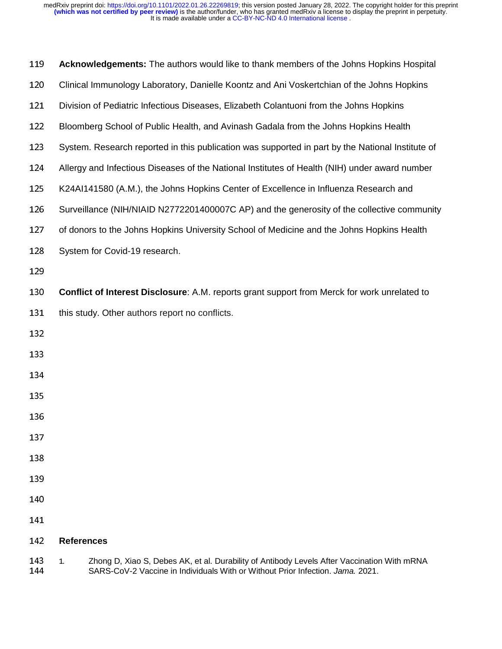| 119        | Acknowledgements: The authors would like to thank members of the Johns Hopkins Hospital                                                                                                      |
|------------|----------------------------------------------------------------------------------------------------------------------------------------------------------------------------------------------|
| 120        | Clinical Immunology Laboratory, Danielle Koontz and Ani Voskertchian of the Johns Hopkins                                                                                                    |
| 121        | Division of Pediatric Infectious Diseases, Elizabeth Colantuoni from the Johns Hopkins                                                                                                       |
| 122        | Bloomberg School of Public Health, and Avinash Gadala from the Johns Hopkins Health                                                                                                          |
| 123        | System. Research reported in this publication was supported in part by the National Institute of                                                                                             |
| 124        | Allergy and Infectious Diseases of the National Institutes of Health (NIH) under award number                                                                                                |
| 125        | K24AI141580 (A.M.), the Johns Hopkins Center of Excellence in Influenza Research and                                                                                                         |
| 126        | Surveillance (NIH/NIAID N2772201400007C AP) and the generosity of the collective community                                                                                                   |
| 127        | of donors to the Johns Hopkins University School of Medicine and the Johns Hopkins Health                                                                                                    |
| 128        | System for Covid-19 research.                                                                                                                                                                |
| 129        |                                                                                                                                                                                              |
| 130        | Conflict of Interest Disclosure: A.M. reports grant support from Merck for work unrelated to                                                                                                 |
| 131        | this study. Other authors report no conflicts.                                                                                                                                               |
| 132        |                                                                                                                                                                                              |
| 133        |                                                                                                                                                                                              |
| 134        |                                                                                                                                                                                              |
| 135        |                                                                                                                                                                                              |
| 136        |                                                                                                                                                                                              |
| 137        |                                                                                                                                                                                              |
| 138        |                                                                                                                                                                                              |
| 139        |                                                                                                                                                                                              |
| 140        |                                                                                                                                                                                              |
| 141        |                                                                                                                                                                                              |
| 142        | <b>References</b>                                                                                                                                                                            |
| 143<br>144 | Zhong D, Xiao S, Debes AK, et al. Durability of Antibody Levels After Vaccination With mRNA<br>$\mathbf{1}$ .<br>SARS-CoV-2 Vaccine in Individuals With or Without Prior Infection Jama 2021 |

<sup>144</sup>SARS-CoV-2 Vaccine in Individuals With or Without Prior Infection. *Jama.* 2021.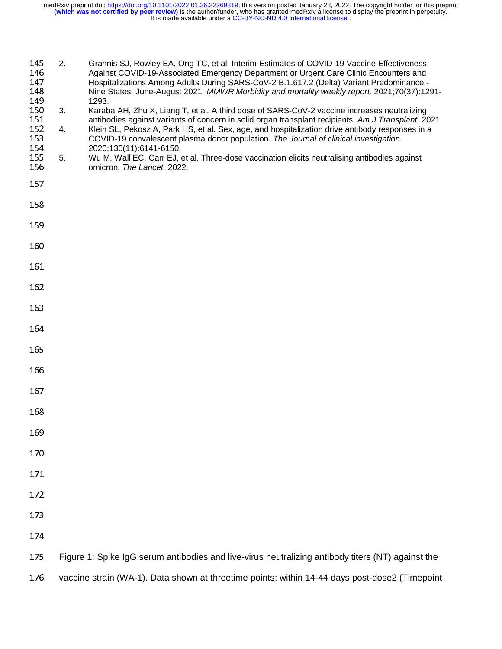| 145<br>146<br>147<br>148<br>149 | 2. | Grannis SJ, Rowley EA, Ong TC, et al. Interim Estimates of COVID-19 Vaccine Effectiveness<br>Against COVID-19-Associated Emergency Department or Urgent Care Clinic Encounters and<br>Hospitalizations Among Adults During SARS-CoV-2 B.1.617.2 (Delta) Variant Predominance -<br>Nine States, June-August 2021. MMWR Morbidity and mortality weekly report. 2021;70(37):1291-<br>1293. |
|---------------------------------|----|-----------------------------------------------------------------------------------------------------------------------------------------------------------------------------------------------------------------------------------------------------------------------------------------------------------------------------------------------------------------------------------------|
| 150                             | 3. | Karaba AH, Zhu X, Liang T, et al. A third dose of SARS-CoV-2 vaccine increases neutralizing                                                                                                                                                                                                                                                                                             |
| 151                             |    | antibodies against variants of concern in solid organ transplant recipients. Am J Transplant. 2021.                                                                                                                                                                                                                                                                                     |
| 152                             | 4. | Klein SL, Pekosz A, Park HS, et al. Sex, age, and hospitalization drive antibody responses in a                                                                                                                                                                                                                                                                                         |
| 153                             |    | COVID-19 convalescent plasma donor population. The Journal of clinical investigation.                                                                                                                                                                                                                                                                                                   |
| 154                             |    | 2020;130(11):6141-6150.                                                                                                                                                                                                                                                                                                                                                                 |
| 155<br>156                      | 5. | Wu M, Wall EC, Carr EJ, et al. Three-dose vaccination elicits neutralising antibodies against<br>omicron. The Lancet. 2022.                                                                                                                                                                                                                                                             |
| 157                             |    |                                                                                                                                                                                                                                                                                                                                                                                         |
| 158                             |    |                                                                                                                                                                                                                                                                                                                                                                                         |
| 159                             |    |                                                                                                                                                                                                                                                                                                                                                                                         |
| 160                             |    |                                                                                                                                                                                                                                                                                                                                                                                         |
| 161                             |    |                                                                                                                                                                                                                                                                                                                                                                                         |
| 162                             |    |                                                                                                                                                                                                                                                                                                                                                                                         |
| 163                             |    |                                                                                                                                                                                                                                                                                                                                                                                         |
| 164                             |    |                                                                                                                                                                                                                                                                                                                                                                                         |
| 165                             |    |                                                                                                                                                                                                                                                                                                                                                                                         |
| 166                             |    |                                                                                                                                                                                                                                                                                                                                                                                         |
| 167                             |    |                                                                                                                                                                                                                                                                                                                                                                                         |
| 168                             |    |                                                                                                                                                                                                                                                                                                                                                                                         |
| 169                             |    |                                                                                                                                                                                                                                                                                                                                                                                         |
| 170                             |    |                                                                                                                                                                                                                                                                                                                                                                                         |
| 171                             |    |                                                                                                                                                                                                                                                                                                                                                                                         |
| 172                             |    |                                                                                                                                                                                                                                                                                                                                                                                         |
| 173                             |    |                                                                                                                                                                                                                                                                                                                                                                                         |
| 174                             |    |                                                                                                                                                                                                                                                                                                                                                                                         |
| 175                             |    | Figure 1: Spike IgG serum antibodies and live-virus neutralizing antibody titers (NT) against the                                                                                                                                                                                                                                                                                       |
| 176                             |    | vaccine strain (WA-1). Data shown at threetime points: within 14-44 days post-dose2 (Timepoint                                                                                                                                                                                                                                                                                          |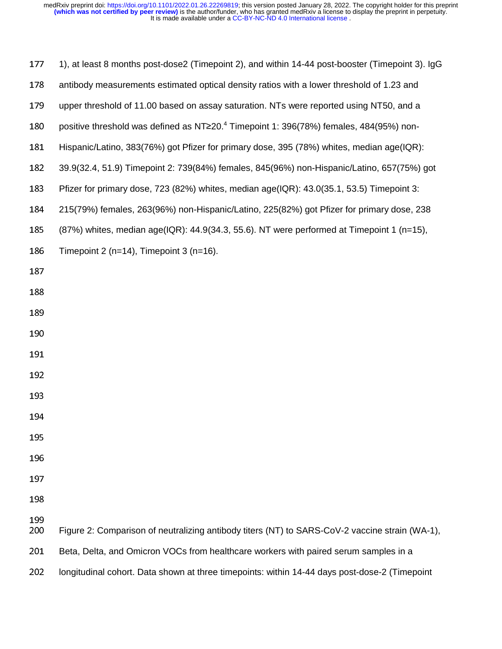| 177        | 1), at least 8 months post-dose2 (Timepoint 2), and within 14-44 post-booster (Timepoint 3). IgG   |
|------------|----------------------------------------------------------------------------------------------------|
| 178        | antibody measurements estimated optical density ratios with a lower threshold of 1.23 and          |
| 179        | upper threshold of 11.00 based on assay saturation. NTs were reported using NT50, and a            |
| 180        | positive threshold was defined as NT≥20. <sup>4</sup> Timepoint 1: 396(78%) females, 484(95%) non- |
| 181        | Hispanic/Latino, 383(76%) got Pfizer for primary dose, 395 (78%) whites, median age(IQR):          |
| 182        | 39.9(32.4, 51.9) Timepoint 2: 739(84%) females, 845(96%) non-Hispanic/Latino, 657(75%) got         |
| 183        | Pfizer for primary dose, 723 (82%) whites, median age(IQR): 43.0(35.1, 53.5) Timepoint 3:          |
| 184        | 215(79%) females, 263(96%) non-Hispanic/Latino, 225(82%) got Pfizer for primary dose, 238          |
| 185        | (87%) whites, median age(IQR): 44.9(34.3, 55.6). NT were performed at Timepoint 1 (n=15),          |
| 186        | Timepoint 2 (n=14), Timepoint 3 (n=16).                                                            |
| 187        |                                                                                                    |
| 188        |                                                                                                    |
| 189        |                                                                                                    |
| 190        |                                                                                                    |
| 191        |                                                                                                    |
| 192        |                                                                                                    |
| 193        |                                                                                                    |
| 194        |                                                                                                    |
| 195        |                                                                                                    |
| 196        |                                                                                                    |
| 197        |                                                                                                    |
| 198        |                                                                                                    |
| 199<br>200 | Figure 2: Comparison of neutralizing antibody titers (NT) to SARS-CoV-2 vaccine strain (WA-1),     |
| 201        | Beta, Delta, and Omicron VOCs from healthcare workers with paired serum samples in a               |
| 202        | longitudinal cohort. Data shown at three timepoints: within 14-44 days post-dose-2 (Timepoint      |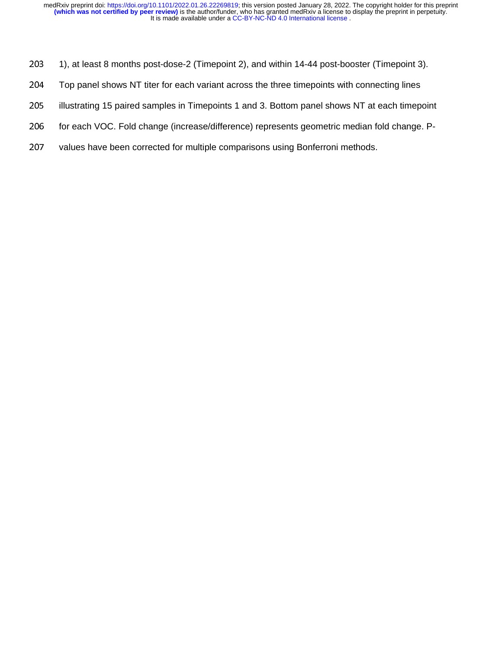- 203 1), at least 8 months post-dose-2 (Timepoint 2), and within 14-44 post-booster (Timepoint 3).
- 204 Top panel shows NT titer for each variant across the three timepoints with connecting lines
- 205 illustrating 15 paired samples in Timepoints 1 and 3. Bottom panel shows NT at each timepoint
- 206 for each VOC. Fold change (increase/difference) represents geometric median fold change. P-
- 207 values have been corrected for multiple comparisons using Bonferroni methods.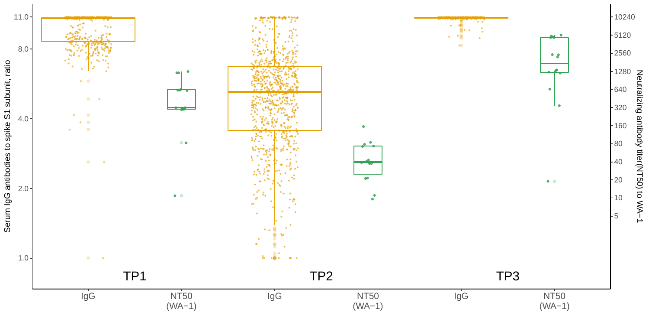